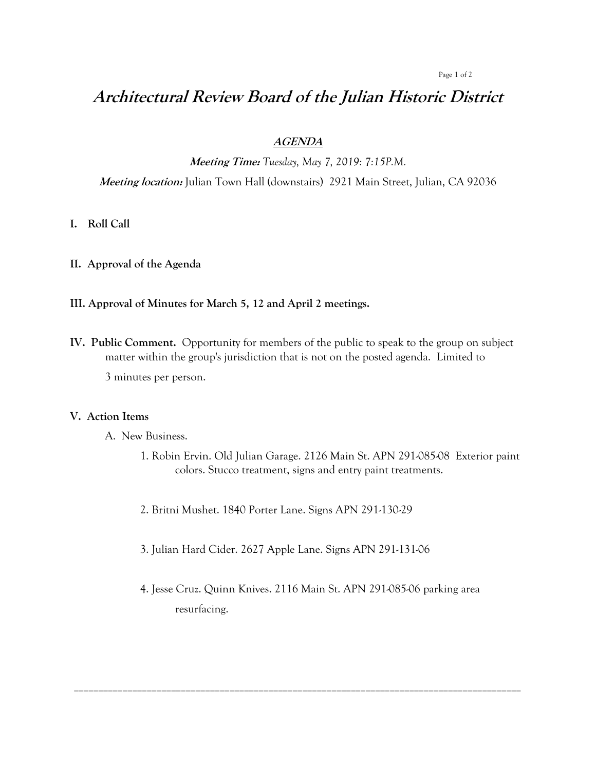#### Page 1 of 2

# **Architectural Review Board of the Julian Historic District**

### **AGENDA**

**Meeting Time:** *Tuesday, May 7, 2019: 7:15P.M.*

**Meeting location:** Julian Town Hall (downstairs) 2921 Main Street, Julian, CA 92036

## **I. Roll Call**

**II. Approval of the Agenda**

#### **III. Approval of Minutes for March 5, 12 and April 2 meetings.**

**IV. Public Comment.** Opportunity for members of the public to speak to the group on subject matter within the group's jurisdiction that is not on the posted agenda. Limited to 3 minutes per person.

#### **V. Action Items**

- A. New Business.
	- 1. Robin Ervin. Old Julian Garage. 2126 Main St. APN 291-085-08 Exterior paint colors. Stucco treatment, signs and entry paint treatments.
	- 2. Britni Mushet. 1840 Porter Lane. Signs APN 291-130-29
	- 3. Julian Hard Cider. 2627 Apple Lane. Signs APN 291-131-06
	- 4. Jesse Cruz. Quinn Knives. 2116 Main St. APN 291-085-06 parking area resurfacing.

\_\_\_\_\_\_\_\_\_\_\_\_\_\_\_\_\_\_\_\_\_\_\_\_\_\_\_\_\_\_\_\_\_\_\_\_\_\_\_\_\_\_\_\_\_\_\_\_\_\_\_\_\_\_\_\_\_\_\_\_\_\_\_\_\_\_\_\_\_\_\_\_\_\_\_\_\_\_\_\_\_\_\_\_\_\_\_\_\_\_\_\_